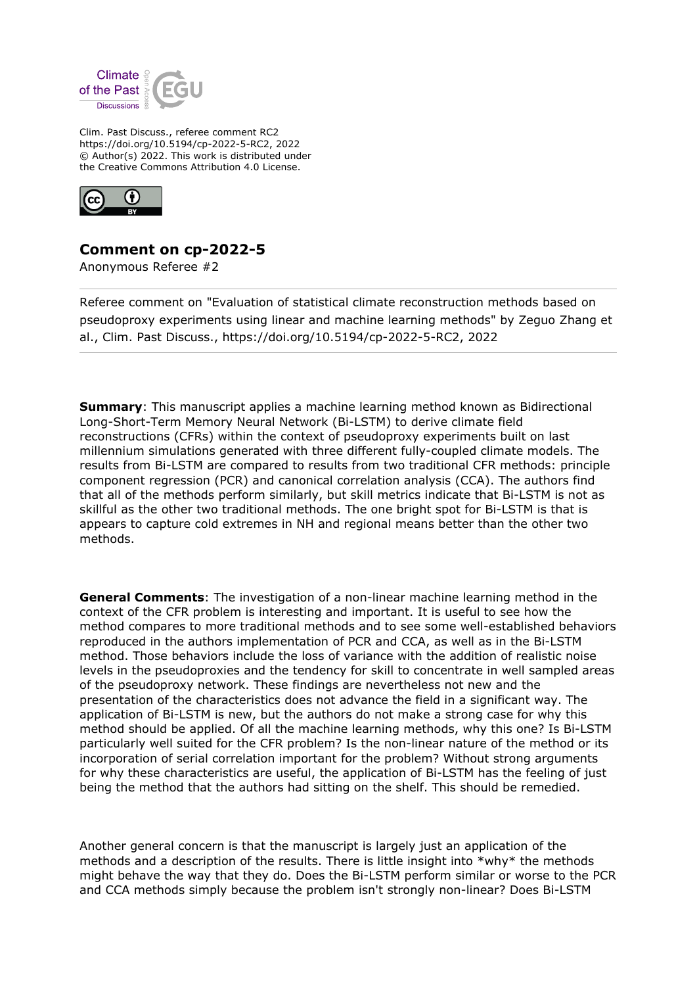

Clim. Past Discuss., referee comment RC2 https://doi.org/10.5194/cp-2022-5-RC2, 2022 © Author(s) 2022. This work is distributed under the Creative Commons Attribution 4.0 License.



## **Comment on cp-2022-5**

Anonymous Referee #2

Referee comment on "Evaluation of statistical climate reconstruction methods based on pseudoproxy experiments using linear and machine learning methods" by Zeguo Zhang et al., Clim. Past Discuss., https://doi.org/10.5194/cp-2022-5-RC2, 2022

**Summary**: This manuscript applies a machine learning method known as Bidirectional Long-Short-Term Memory Neural Network (Bi-LSTM) to derive climate field reconstructions (CFRs) within the context of pseudoproxy experiments built on last millennium simulations generated with three different fully-coupled climate models. The results from Bi-LSTM are compared to results from two traditional CFR methods: principle component regression (PCR) and canonical correlation analysis (CCA). The authors find that all of the methods perform similarly, but skill metrics indicate that Bi-LSTM is not as skillful as the other two traditional methods. The one bright spot for Bi-LSTM is that is appears to capture cold extremes in NH and regional means better than the other two methods.

**General Comments**: The investigation of a non-linear machine learning method in the context of the CFR problem is interesting and important. It is useful to see how the method compares to more traditional methods and to see some well-established behaviors reproduced in the authors implementation of PCR and CCA, as well as in the Bi-LSTM method. Those behaviors include the loss of variance with the addition of realistic noise levels in the pseudoproxies and the tendency for skill to concentrate in well sampled areas of the pseudoproxy network. These findings are nevertheless not new and the presentation of the characteristics does not advance the field in a significant way. The application of Bi-LSTM is new, but the authors do not make a strong case for why this method should be applied. Of all the machine learning methods, why this one? Is Bi-LSTM particularly well suited for the CFR problem? Is the non-linear nature of the method or its incorporation of serial correlation important for the problem? Without strong arguments for why these characteristics are useful, the application of Bi-LSTM has the feeling of just being the method that the authors had sitting on the shelf. This should be remedied.

Another general concern is that the manuscript is largely just an application of the methods and a description of the results. There is little insight into \*why\* the methods might behave the way that they do. Does the Bi-LSTM perform similar or worse to the PCR and CCA methods simply because the problem isn't strongly non-linear? Does Bi-LSTM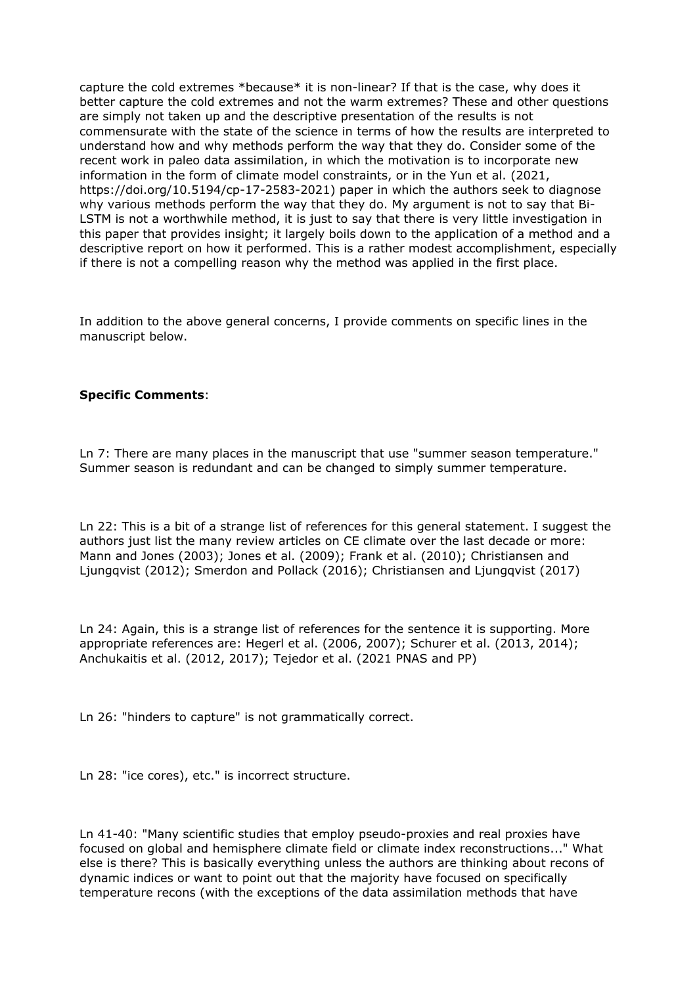capture the cold extremes \*because\* it is non-linear? If that is the case, why does it better capture the cold extremes and not the warm extremes? These and other questions are simply not taken up and the descriptive presentation of the results is not commensurate with the state of the science in terms of how the results are interpreted to understand how and why methods perform the way that they do. Consider some of the recent work in paleo data assimilation, in which the motivation is to incorporate new information in the form of climate model constraints, or in the Yun et al. (2021, https://doi.org/10.5194/cp-17-2583-2021) paper in which the authors seek to diagnose why various methods perform the way that they do. My argument is not to say that Bi-LSTM is not a worthwhile method, it is just to say that there is very little investigation in this paper that provides insight; it largely boils down to the application of a method and a descriptive report on how it performed. This is a rather modest accomplishment, especially if there is not a compelling reason why the method was applied in the first place.

In addition to the above general concerns, I provide comments on specific lines in the manuscript below.

## **Specific Comments**:

Ln 7: There are many places in the manuscript that use "summer season temperature." Summer season is redundant and can be changed to simply summer temperature.

Ln 22: This is a bit of a strange list of references for this general statement. I suggest the authors just list the many review articles on CE climate over the last decade or more: Mann and Jones (2003); Jones et al. (2009); Frank et al. (2010); Christiansen and Ljungqvist (2012); Smerdon and Pollack (2016); Christiansen and Ljungqvist (2017)

Ln 24: Again, this is a strange list of references for the sentence it is supporting. More appropriate references are: Hegerl et al. (2006, 2007); Schurer et al. (2013, 2014); Anchukaitis et al. (2012, 2017); Tejedor et al. (2021 PNAS and PP)

Ln 26: "hinders to capture" is not grammatically correct.

Ln 28: "ice cores), etc." is incorrect structure.

Ln 41-40: "Many scientific studies that employ pseudo-proxies and real proxies have focused on global and hemisphere climate field or climate index reconstructions..." What else is there? This is basically everything unless the authors are thinking about recons of dynamic indices or want to point out that the majority have focused on specifically temperature recons (with the exceptions of the data assimilation methods that have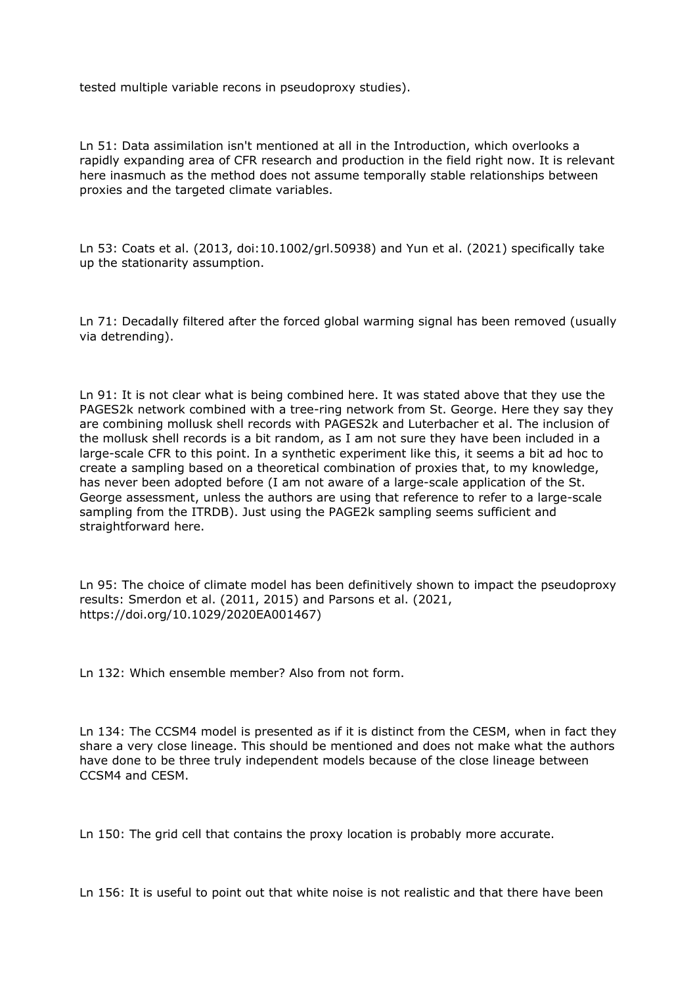tested multiple variable recons in pseudoproxy studies).

Ln 51: Data assimilation isn't mentioned at all in the Introduction, which overlooks a rapidly expanding area of CFR research and production in the field right now. It is relevant here inasmuch as the method does not assume temporally stable relationships between proxies and the targeted climate variables.

Ln 53: Coats et al. (2013, doi:10.1002/grl.50938) and Yun et al. (2021) specifically take up the stationarity assumption.

Ln 71: Decadally filtered after the forced global warming signal has been removed (usually via detrending).

Ln 91: It is not clear what is being combined here. It was stated above that they use the PAGES2k network combined with a tree-ring network from St. George. Here they say they are combining mollusk shell records with PAGES2k and Luterbacher et al. The inclusion of the mollusk shell records is a bit random, as I am not sure they have been included in a large-scale CFR to this point. In a synthetic experiment like this, it seems a bit ad hoc to create a sampling based on a theoretical combination of proxies that, to my knowledge, has never been adopted before (I am not aware of a large-scale application of the St. George assessment, unless the authors are using that reference to refer to a large-scale sampling from the ITRDB). Just using the PAGE2k sampling seems sufficient and straightforward here.

Ln 95: The choice of climate model has been definitively shown to impact the pseudoproxy results: Smerdon et al. (2011, 2015) and Parsons et al. (2021, https://doi.org/10.1029/2020EA001467)

Ln 132: Which ensemble member? Also from not form.

Ln 134: The CCSM4 model is presented as if it is distinct from the CESM, when in fact they share a very close lineage. This should be mentioned and does not make what the authors have done to be three truly independent models because of the close lineage between CCSM4 and CESM.

Ln 150: The grid cell that contains the proxy location is probably more accurate.

Ln 156: It is useful to point out that white noise is not realistic and that there have been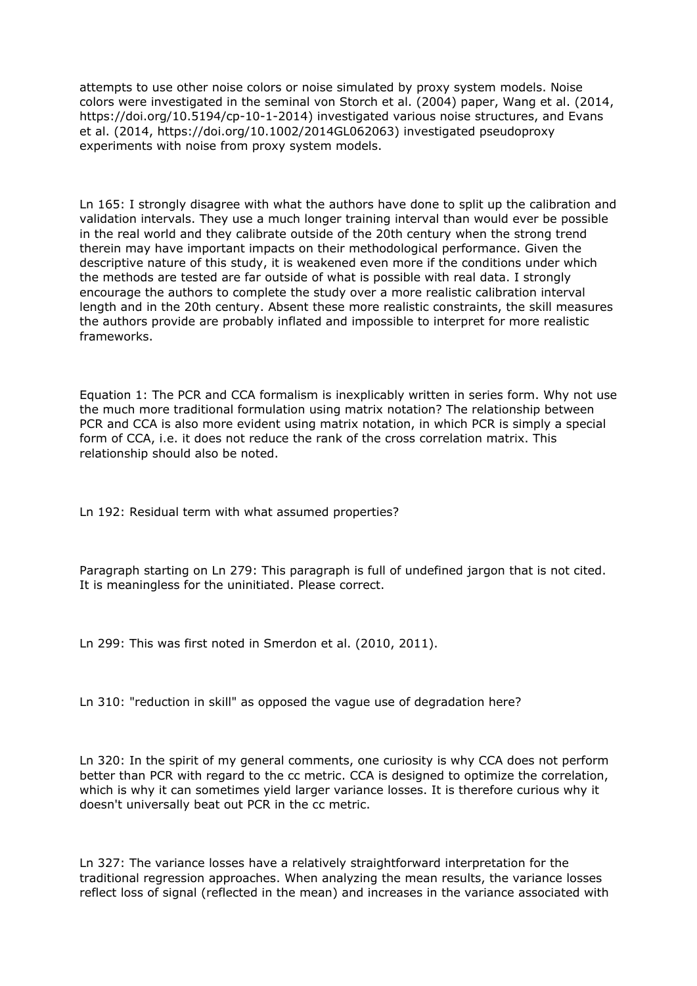attempts to use other noise colors or noise simulated by proxy system models. Noise colors were investigated in the seminal von Storch et al. (2004) paper, Wang et al. (2014, https://doi.org/10.5194/cp-10-1-2014) investigated various noise structures, and Evans et al. (2014, https://doi.org/10.1002/2014GL062063) investigated pseudoproxy experiments with noise from proxy system models.

Ln 165: I strongly disagree with what the authors have done to split up the calibration and validation intervals. They use a much longer training interval than would ever be possible in the real world and they calibrate outside of the 20th century when the strong trend therein may have important impacts on their methodological performance. Given the descriptive nature of this study, it is weakened even more if the conditions under which the methods are tested are far outside of what is possible with real data. I strongly encourage the authors to complete the study over a more realistic calibration interval length and in the 20th century. Absent these more realistic constraints, the skill measures the authors provide are probably inflated and impossible to interpret for more realistic frameworks.

Equation 1: The PCR and CCA formalism is inexplicably written in series form. Why not use the much more traditional formulation using matrix notation? The relationship between PCR and CCA is also more evident using matrix notation, in which PCR is simply a special form of CCA, i.e. it does not reduce the rank of the cross correlation matrix. This relationship should also be noted.

Ln 192: Residual term with what assumed properties?

Paragraph starting on Ln 279: This paragraph is full of undefined jargon that is not cited. It is meaningless for the uninitiated. Please correct.

Ln 299: This was first noted in Smerdon et al. (2010, 2011).

Ln 310: "reduction in skill" as opposed the vague use of degradation here?

Ln 320: In the spirit of my general comments, one curiosity is why CCA does not perform better than PCR with regard to the cc metric. CCA is designed to optimize the correlation, which is why it can sometimes yield larger variance losses. It is therefore curious why it doesn't universally beat out PCR in the cc metric.

Ln 327: The variance losses have a relatively straightforward interpretation for the traditional regression approaches. When analyzing the mean results, the variance losses reflect loss of signal (reflected in the mean) and increases in the variance associated with